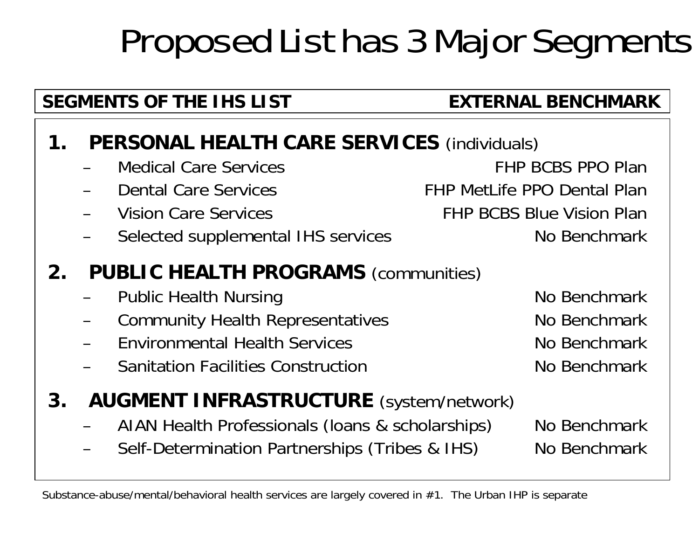# Proposed List has 3 Major Segments

#### SEGMENTS OF THE IHS LIST **EXTERNAL BENCHMARK**

#### **1. PERSONAL HEALTH CARE SERVICES** (individuals)

- Medical Care Services FHP BCBS PPO PlanDental Care Services The Realth Care Services FHP MetLife PPO Dental Plan Vision Care Services FHP BCBS Blue Vision Plan–Selected supplemental IHS services No Benchmark **2. PUBLIC HEALTH PROGRAMS** (communities) Public Health Nursing No Benchmark
	- Community Health Representatives Mo Benchmark
	- –Environmental Health Services
	- –Sanitation Facilities Construction

### **3. AUGMENT INFRASTRUCTURE** (system/network)

- AIAN Health Professionals (Ioans & scholarships) No Benchmark
- Self-Determination Partnerships (Tribes & IHS) No Benchmark

 No BenchmarkNo Benchmark

Substance-abuse/mental/behavioral health services are largely covered in #1. The Urban IHP is separate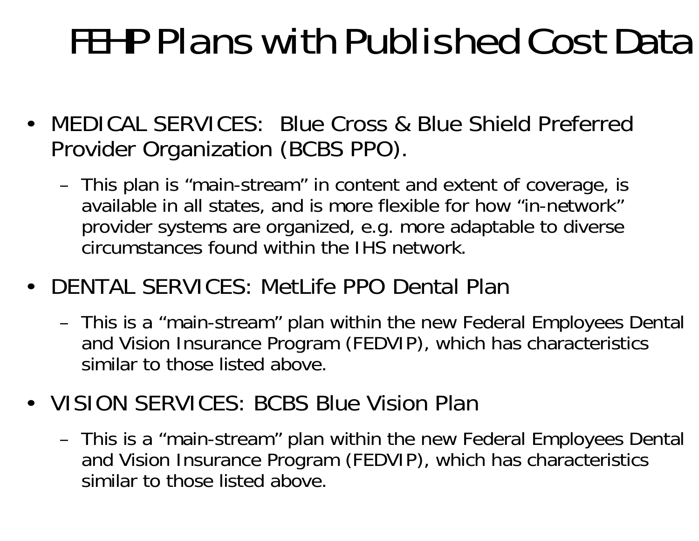# FEHP Plans with Published Cost Data

- MEDICAL SERVICES: Blue Cross & Blue Shield Preferred Provider Organization (BCBS PPO).
	- This plan is "main-stream" in content and extent of coverage, is available in all states, and is more flexible for how "in-network" provider systems are organized, e.g. more adaptable to diverse circumstances found within the IHS network.
- DENTAL SERVICES: MetLife PPO Dental Plan
	- This is a "main-stream" plan within the new Federal Employees Dental and Vision Insurance Program (FEDVIP), which has characteristics similar to those listed above.
- VISION SERVICES: BCBS Blue Vision Plan
	- This is a "main-stream" plan within the new Federal Employees Dental and Vision Insurance Program (FEDVIP), which has characteristics similar to those listed above.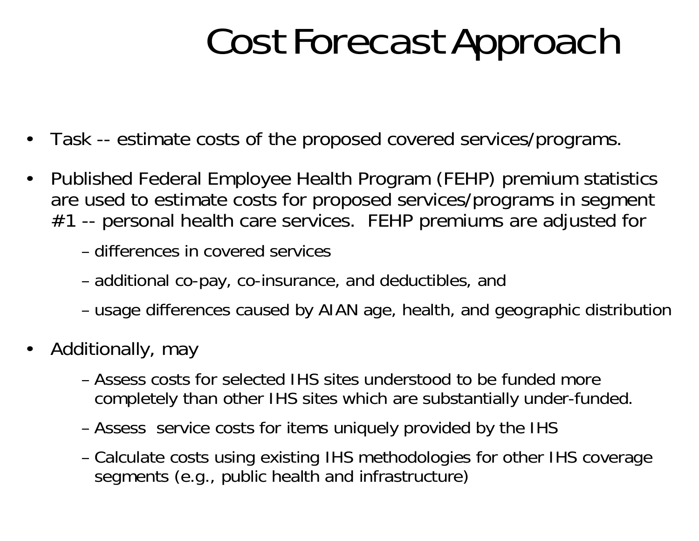# Cost Forecast Approach

- $\bullet$ Task -- estimate costs of the proposed covered services/programs.
- $\bullet$  Published Federal Employee Health Program (FEHP) premium statistics are used to estimate costs for proposed services/programs in segment #1 -- personal health care services. FEHP premiums are adjusted for
	- differences in covered services
	- additional co-pay, co-insurance, and deductibles, and
	- usage differences caused by AIAN age, health, and geographic distribution
- • Additionally, may
	- Assess costs for selected IHS sites understood to be funded morecompletely than other IHS sites which are substantially under-funded.
	- Assess service costs for items uniquely provided by the IHS
	- Calculate costs using existing IHS methodologies for other IHS coverage segments (e.g., public health and infrastructure)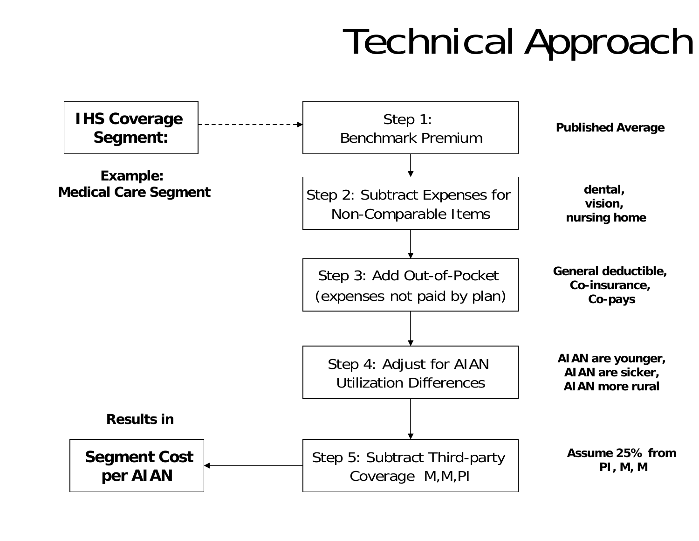# Technical Approach

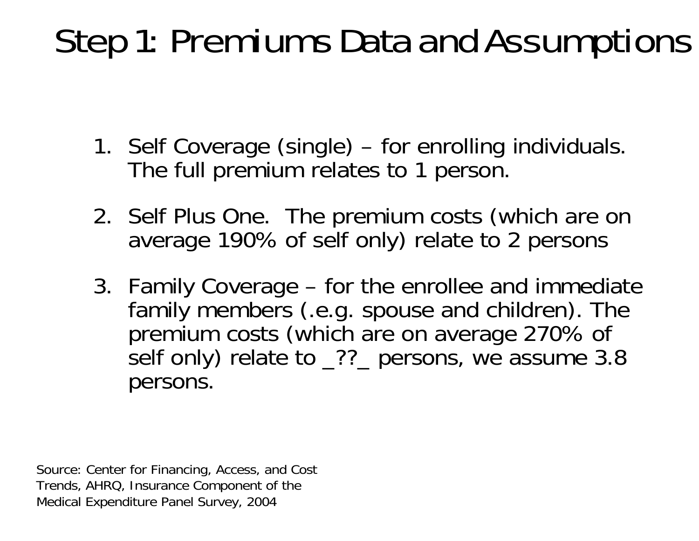## Step 1: Premiums Data and Assumptions

- 1. Self Coverage (single) for enrolling individuals. The full premium relates to 1 person.
- 2. Self Plus One. The premium costs (which are on average 190% of self only) relate to 2 persons
- 3. Family Coverage for the enrollee and immediate family members (.e.g. spouse and children). The premium costs (which are on average 270% of self only) relate to \_??\_ persons, we assume 3.8 persons.

Source: Center for Financing, Access, and Cost Trends, AHRQ, Insurance Component of the Medical Expenditure Panel Survey, 2004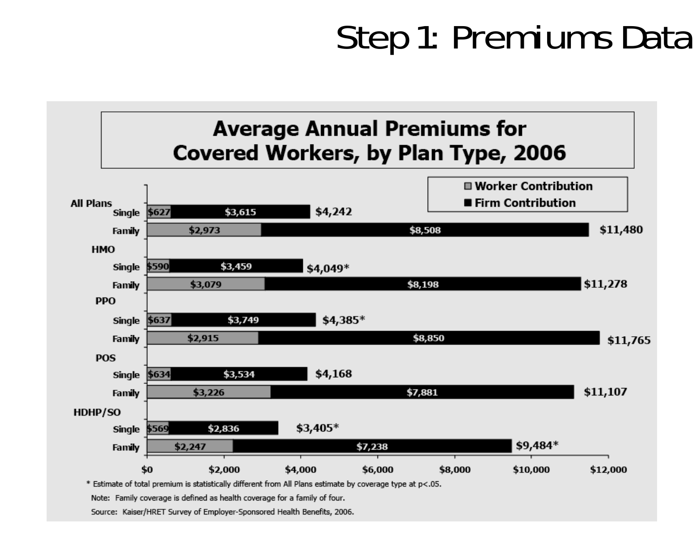### Step 1: Premiums Data



Note: Family coverage is defined as health coverage for a family of four.

Source: Kaiser/HRET Survey of Employer-Sponsored Health Benefits, 2006.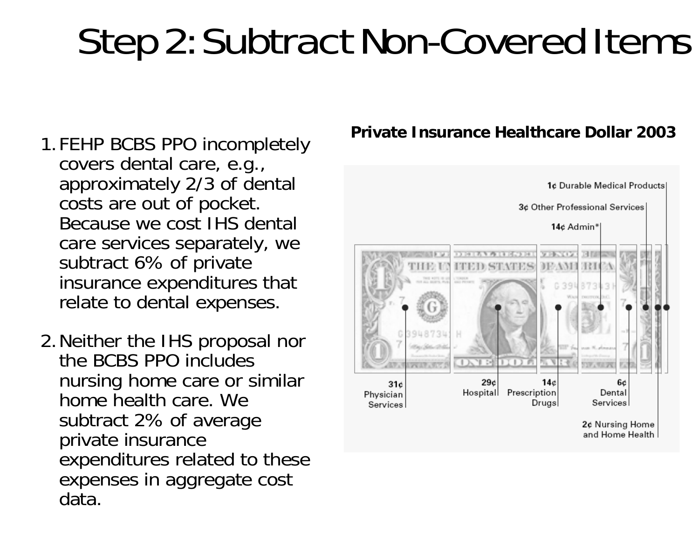# Step 2: Subtract Non-Covered Items

- 1.FEHP BCBS PPO incompletely covers dental care, e.g., approximately 2/3 of dental costs are out of pocket. Because we cost IHS dental care services separately, we subtract 6% of private insurance expenditures that relate to dental expenses.
- 2.Neither the IHS proposal nor the BCBS PPO includes nursing home care or similar home health care. We subtract 2% of average private insurance expenditures related to these expenses in aggregate cost data.

#### **Private Insurance Healthcare Dollar 2003**

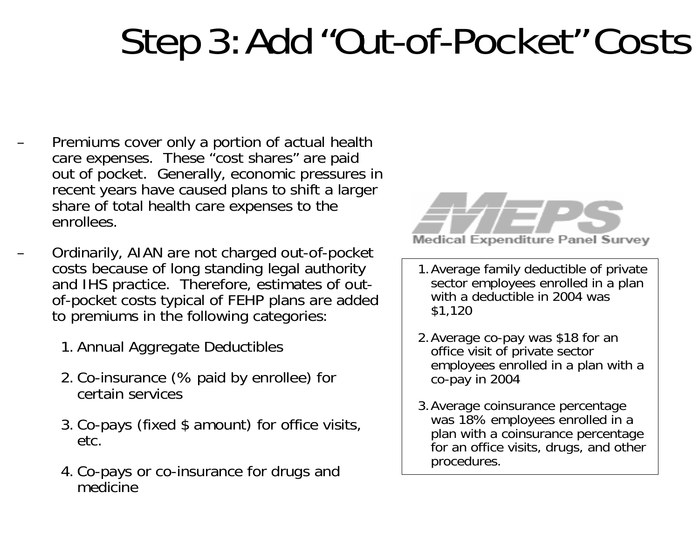# Step 3: Add "Out-of-Pocket" Costs

- – Premiums cover only a portion of actual health care expenses. These "cost shares" are paid out of pocket. Generally, economic pressures in recent years have caused plans to shift a larger share of total health care expenses to the enrollees.
- Ordinarily, AIAN are not charged out-of-pocket costs because of long standing legal authority and IHS practice. Therefore, estimates of outof-pocket costs typical of FEHP plans are added to premiums in the following categories:
	- 1. Annual Aggregate Deductibles
	- 2. Co-insurance (% paid by enrollee) for certain services
	- 3. Co-pays (fixed \$ amount) for office visits, etc.
	- 4. Co-pays or co-insurance for drugs and medicine



- 1.Average family deductible of private sector employees enrolled in a plan with a deductible in 2004 was \$1,120
- 2.Average co-pay was \$18 for an office visit of private sector employees enrolled in a plan with a co-pay in 2004
- 3.Average coinsurance percentage was 18% employees enrolled in a plan with a coinsurance percentage for an office visits, drugs, and other procedures.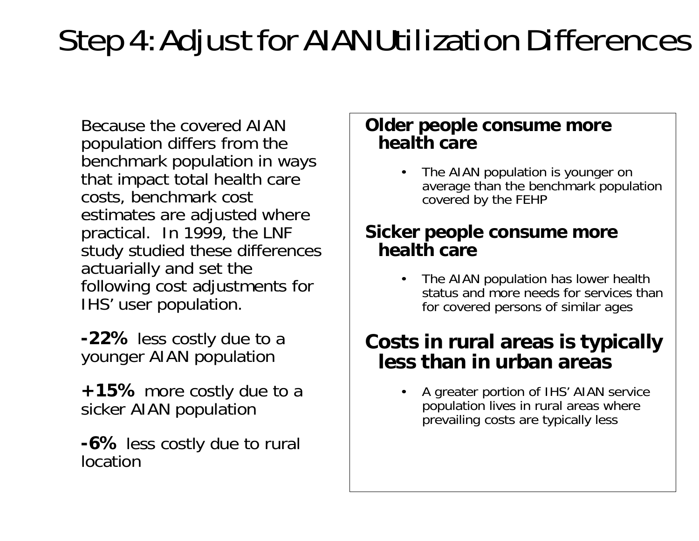### Step 4: Adjust for AIAN Utilization Differences

Because the covered AIAN population differs from the benchmark population in ways that impact total health care costs, benchmark cost estimates are adjusted where practical. In 1999, the LNF study studied these differences actuarially and set the following cost adjustments for IHS' user population.

**-22%** less costly due to a younger AIAN population

**+15%** more costly due to a sicker AIAN population

**-6%** less costly due to rural location

#### **Older people consume more health care**

• The AIAN population is younger on average than the benchmark population covered by the FEHP

#### **Sicker people consume more health care**

• The AIAN population has lower health status and more needs for services than for covered persons of similar ages

#### **Costs in rural areas is typically less than in urban areas**

• A greater portion of IHS' AIAN service population lives in rural areas where prevailing costs are typically less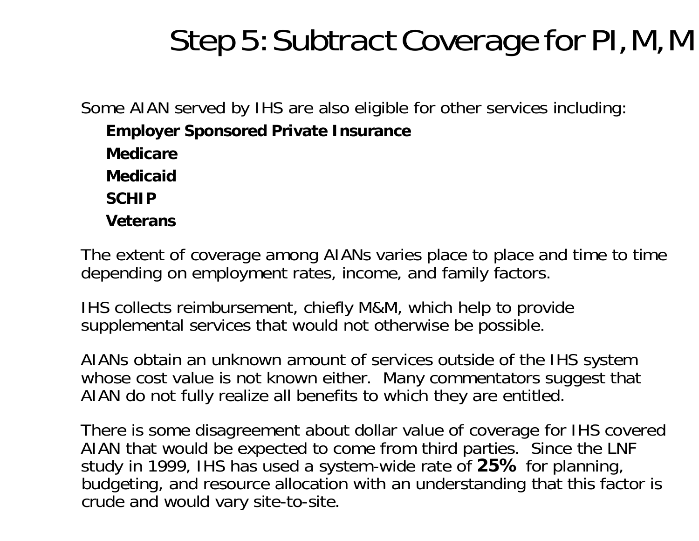### Step 5: Subtract Coverage for PI, M, M

Some AIAN served by IHS are also eligible for other services including:

**Employer Sponsored Private Insurance**

**Medicare**

**Medicaid**

**SCHIP**

**Veterans**

The extent of coverage among AIANs varies place to place and time to time depending on employment rates, income, and family factors.

IHS collects reimbursement, chiefly M&M, which help to provide supplemental services that would not otherwise be possible.

AIANs obtain an unknown amount of services outside of the IHS system whose cost value is not known either. Many commentators suggest that AIAN do not fully realize all benefits to which they are entitled.

There is some disagreement about dollar value of coverage for IHS covered AIAN that would be expected to come from third parties. Since the LNF study in 1999, IHS has used a system-wide rate of **25%** for planning, budgeting, and resource allocation with an understanding that this factor is crude and would vary site-to-site.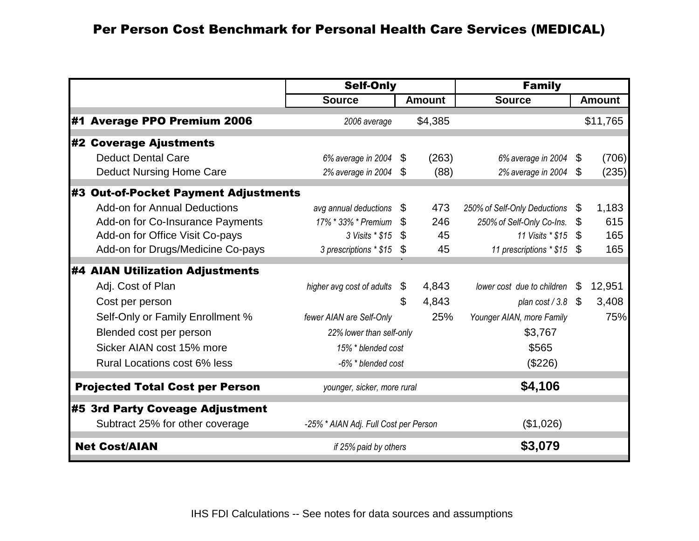|    |                                        | <b>Self-Only</b>                      |                | <b>Family</b> |                              |    |               |
|----|----------------------------------------|---------------------------------------|----------------|---------------|------------------------------|----|---------------|
|    |                                        | <b>Source</b>                         |                | <b>Amount</b> | <b>Source</b>                |    | <b>Amount</b> |
| #1 | <b>Average PPO Premium 2006</b>        | 2006 average                          |                | \$4,385       |                              |    | \$11,765      |
|    | #2 Coverage Ajustments                 |                                       |                |               |                              |    |               |
|    | <b>Deduct Dental Care</b>              | $6\%$ average in 2004 $$$             |                | (263)         | 6% average in 2004           | \$ | (706)         |
|    | <b>Deduct Nursing Home Care</b>        | 2% average in 2004                    | - \$           | (88)          | 2% average in 2004           | \$ | (235)         |
|    | #3 Out-of-Pocket Payment Adjustments   |                                       |                |               |                              |    |               |
|    | <b>Add-on for Annual Deductions</b>    | avg annual deductions $\mathcal S$    |                | 473           | 250% of Self-Only Deductions | \$ | 1,183         |
|    | Add-on for Co-Insurance Payments       | 17% * 33% * Premium \$                |                | 246           | 250% of Self-Only Co-Ins.    | \$ | 615           |
|    | Add-on for Office Visit Co-pays        | 3 Visits * \$15                       | \$             | 45            | 11 Visits * \$15             | \$ | 165           |
|    | Add-on for Drugs/Medicine Co-pays      | 3 prescriptions * \$15                | \$             | 45            | 11 prescriptions * \$15 \$   |    | 165           |
|    | <b>#4 AIAN Utilization Adjustments</b> |                                       |                |               |                              |    |               |
|    | Adj. Cost of Plan                      | higher avg cost of adults             | $\mathfrak{F}$ | 4,843         | lower cost due to children   | \$ | 12,951        |
|    | Cost per person                        |                                       | \$             | 4,843         | plan cost / 3.8              | \$ | 3,408         |
|    | Self-Only or Family Enrollment %       | fewer AIAN are Self-Only              |                | 25%           | Younger AIAN, more Family    |    | 75%           |
|    | Blended cost per person                | 22% lower than self-only              |                |               | \$3,767                      |    |               |
|    | Sicker AIAN cost 15% more              | 15% * blended cost                    |                |               | \$565                        |    |               |
|    | Rural Locations cost 6% less           | -6% * blended cost                    |                |               | (\$226)                      |    |               |
|    | <b>Projected Total Cost per Person</b> | younger, sicker, more rural           |                |               | \$4,106                      |    |               |
|    | #5 3rd Party Coveage Adjustment        |                                       |                |               |                              |    |               |
|    | Subtract 25% for other coverage        | -25% * AIAN Adj. Full Cost per Person |                |               | (\$1,026)                    |    |               |
|    | <b>Net Cost/AIAN</b>                   | if 25% paid by others                 |                |               | \$3,079                      |    |               |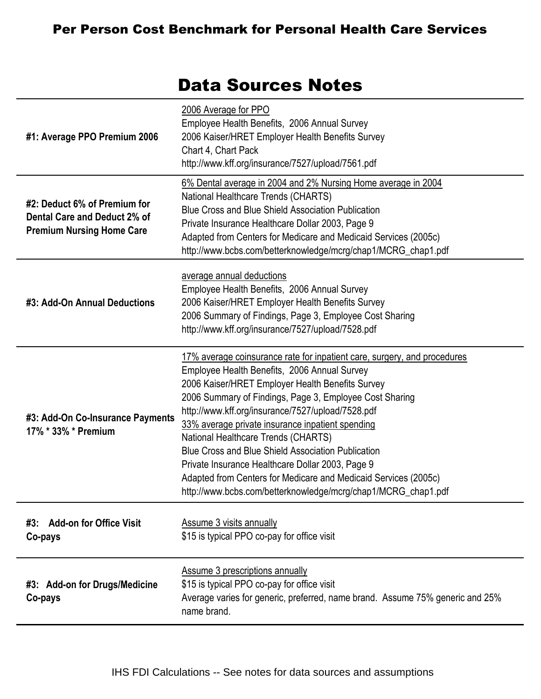#### Per Person Cost Benchmark for Personal Health Care Services

#### Data Sources Notes

| #1: Average PPO Premium 2006                                                                     | 2006 Average for PPO<br>Employee Health Benefits, 2006 Annual Survey<br>2006 Kaiser/HRET Employer Health Benefits Survey<br>Chart 4, Chart Pack<br>http://www.kff.org/insurance/7527/upload/7561.pdf                                                                                                                                                                                                                                                                                                                                                                                                                                         |
|--------------------------------------------------------------------------------------------------|----------------------------------------------------------------------------------------------------------------------------------------------------------------------------------------------------------------------------------------------------------------------------------------------------------------------------------------------------------------------------------------------------------------------------------------------------------------------------------------------------------------------------------------------------------------------------------------------------------------------------------------------|
| #2: Deduct 6% of Premium for<br>Dental Care and Deduct 2% of<br><b>Premium Nursing Home Care</b> | 6% Dental average in 2004 and 2% Nursing Home average in 2004<br>National Healthcare Trends (CHARTS)<br><b>Blue Cross and Blue Shield Association Publication</b><br>Private Insurance Healthcare Dollar 2003, Page 9<br>Adapted from Centers for Medicare and Medicaid Services (2005c)<br>http://www.bcbs.com/betterknowledge/mcrg/chap1/MCRG_chap1.pdf                                                                                                                                                                                                                                                                                    |
| #3: Add-On Annual Deductions                                                                     | average annual deductions<br>Employee Health Benefits, 2006 Annual Survey<br>2006 Kaiser/HRET Employer Health Benefits Survey<br>2006 Summary of Findings, Page 3, Employee Cost Sharing<br>http://www.kff.org/insurance/7527/upload/7528.pdf                                                                                                                                                                                                                                                                                                                                                                                                |
| #3: Add-On Co-Insurance Payments<br>17% * 33% * Premium                                          | 17% average coinsurance rate for inpatient care, surgery, and procedures<br>Employee Health Benefits, 2006 Annual Survey<br>2006 Kaiser/HRET Employer Health Benefits Survey<br>2006 Summary of Findings, Page 3, Employee Cost Sharing<br>http://www.kff.org/insurance/7527/upload/7528.pdf<br>33% average private insurance inpatient spending<br>National Healthcare Trends (CHARTS)<br><b>Blue Cross and Blue Shield Association Publication</b><br>Private Insurance Healthcare Dollar 2003, Page 9<br>Adapted from Centers for Medicare and Medicaid Services (2005c)<br>http://www.bcbs.com/betterknowledge/mcrg/chap1/MCRG_chap1.pdf |
| <b>Add-on for Office Visit</b><br>#3:<br>Co-pays                                                 | <b>Assume 3 visits annually</b><br>\$15 is typical PPO co-pay for office visit                                                                                                                                                                                                                                                                                                                                                                                                                                                                                                                                                               |
| #3: Add-on for Drugs/Medicine<br>Co-pays                                                         | <b>Assume 3 prescriptions annually</b><br>\$15 is typical PPO co-pay for office visit<br>Average varies for generic, preferred, name brand. Assume 75% generic and 25%<br>name brand.                                                                                                                                                                                                                                                                                                                                                                                                                                                        |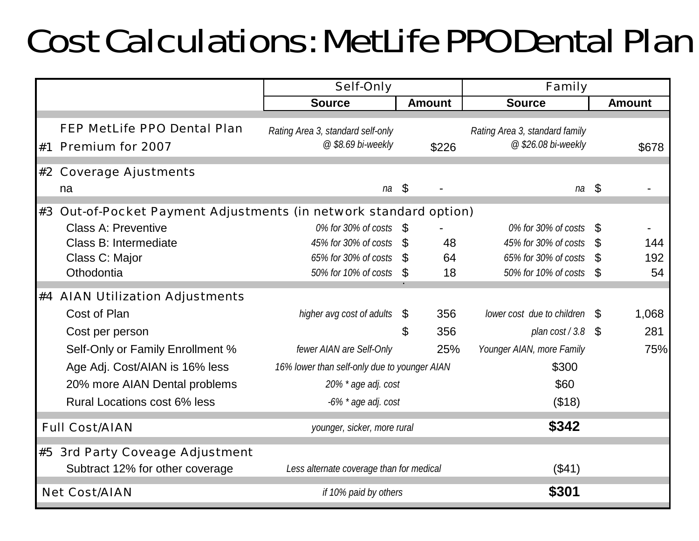## Cost Calculations: MetLife PPO Dental Plan

|                                                                   | <b>Self-Only</b>                                        |              | <b>Family</b> |                                                       |               |               |
|-------------------------------------------------------------------|---------------------------------------------------------|--------------|---------------|-------------------------------------------------------|---------------|---------------|
|                                                                   | <b>Source</b>                                           |              | <b>Amount</b> | <b>Source</b>                                         |               | <b>Amount</b> |
| <b>FEP MetLife PPO Dental Plan</b><br>#1 Premium for 2007         | Rating Area 3, standard self-only<br>@ \$8.69 bi-weekly |              | \$226         | Rating Area 3, standard family<br>@ \$26.08 bi-weekly |               | \$678         |
| #2 Coverage Ajustments                                            |                                                         |              |               |                                                       |               |               |
| na                                                                | na                                                      | \$           |               | na                                                    | \$            |               |
| #3 Out-of-Pocket Payment Adjustments (in network standard option) |                                                         |              |               |                                                       |               |               |
| <b>Class A: Preventive</b>                                        | 0% for 30% of costs                                     | \$           |               | 0% for 30% of costs                                   | \$            |               |
| Class B: Intermediate                                             | 45% for 30% of costs                                    | <sup>8</sup> | 48            | 45% for 30% of costs                                  |               | 144           |
| Class C: Major                                                    | 65% for 30% of costs                                    | - \$         | 64            | 65% for 30% of costs                                  | \$            | 192           |
| Othodontia                                                        | 50% for 10% of costs                                    | \$           | 18            | 50% for 10% of costs                                  | $\mathcal{L}$ | 54            |
| #4 AIAN Utilization Adjustments                                   |                                                         |              |               |                                                       |               |               |
| Cost of Plan                                                      | higher avg cost of adults                               | \$           | 356           | lower cost due to children $\mathbb S$                |               | 1,068         |
| Cost per person                                                   |                                                         | \$           | 356           | plan $cost/3.8$ \$                                    |               | 281           |
| Self-Only or Family Enrollment %                                  | fewer AIAN are Self-Only                                |              | 25%           | Younger AIAN, more Family                             |               | 75%           |
| Age Adj. Cost/AIAN is 16% less                                    | 16% lower than self-only due to younger AIAN            |              |               | \$300                                                 |               |               |
| 20% more AIAN Dental problems                                     | 20% * age adj. cost                                     |              |               | \$60                                                  |               |               |
| Rural Locations cost 6% less                                      | -6% * age adj. cost                                     |              |               | (\$18)                                                |               |               |
| <b>Full Cost/AIAN</b>                                             | younger, sicker, more rural                             |              |               | \$342                                                 |               |               |
| #5 3rd Party Coveage Adjustment                                   |                                                         |              |               |                                                       |               |               |
| Subtract 12% for other coverage                                   | Less alternate coverage than for medical                |              |               | (\$41)                                                |               |               |
| <b>Net Cost/AIAN</b>                                              | if 10% paid by others                                   |              |               | \$301                                                 |               |               |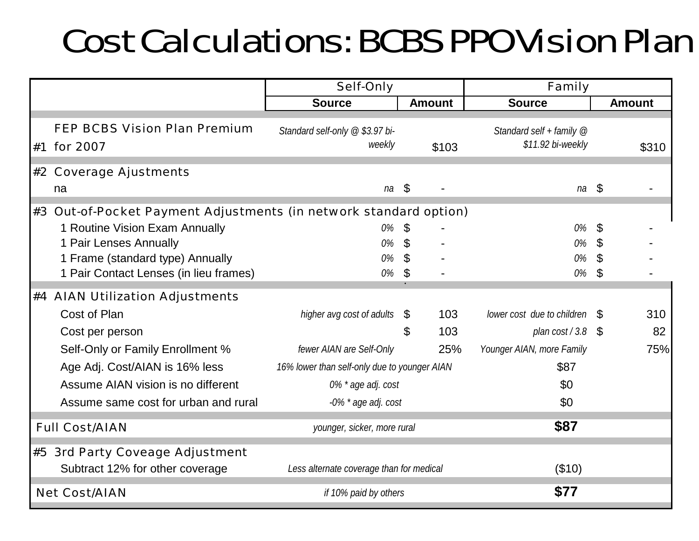### Cost Calculations: BCBS PPO Vision Plan

|                                                                   | <b>Self-Only</b>                             |                | <b>Family</b> |                                                 |                           |               |
|-------------------------------------------------------------------|----------------------------------------------|----------------|---------------|-------------------------------------------------|---------------------------|---------------|
|                                                                   | <b>Source</b>                                |                | <b>Amount</b> | <b>Source</b>                                   |                           | <b>Amount</b> |
| <b>FEP BCBS Vision Plan Premium</b><br>#1 for 2007                | Standard self-only @ \$3.97 bi-<br>weekly    |                | \$103         | Standard self + family $@$<br>\$11.92 bi-weekly |                           | \$310         |
| #2 Coverage Ajustments                                            |                                              |                |               |                                                 |                           |               |
| na                                                                | na                                           | $\mathcal{S}$  |               | $na \simeq$                                     |                           |               |
| #3 Out-of-Pocket Payment Adjustments (in network standard option) |                                              |                |               |                                                 |                           |               |
| 1 Routine Vision Exam Annually                                    | 0%                                           | \$             |               | 0%                                              | \$                        |               |
| 1 Pair Lenses Annually                                            | 0%                                           | $\mathfrak{L}$ |               | 0%                                              | \$                        |               |
| 1 Frame (standard type) Annually                                  | 0%                                           | $\mathfrak{L}$ |               | 0%                                              | $\boldsymbol{\mathsf{S}}$ |               |
| 1 Pair Contact Lenses (in lieu frames)                            | 0%                                           | \$             |               | 0%                                              | $\mathfrak{L}$            |               |
| #4 AIAN Utilization Adjustments                                   |                                              |                |               |                                                 |                           |               |
| Cost of Plan                                                      | higher avg cost of adults                    | -S             | 103           | lower cost due to children \$                   |                           | 310           |
| Cost per person                                                   |                                              | $\mathfrak{L}$ | 103           | plan $cost/3.8$ \$                              |                           | 82            |
| Self-Only or Family Enrollment %                                  | fewer AIAN are Self-Only                     |                | 25%           | Younger AIAN, more Family                       |                           | 75%           |
| Age Adj. Cost/AIAN is 16% less                                    | 16% lower than self-only due to younger AIAN |                |               | \$87                                            |                           |               |
| Assume AIAN vision is no different                                | 0% * age adj. cost                           |                |               | \$0                                             |                           |               |
| Assume same cost for urban and rural                              | -0% * age adj. cost                          |                |               | \$0                                             |                           |               |
| <b>Full Cost/AIAN</b>                                             | younger, sicker, more rural                  |                |               | \$87                                            |                           |               |
| #5 3rd Party Coveage Adjustment                                   |                                              |                |               |                                                 |                           |               |
| Subtract 12% for other coverage                                   | Less alternate coverage than for medical     |                |               | (\$10)                                          |                           |               |
| <b>Net Cost/AIAN</b>                                              | if 10% paid by others                        |                |               | \$77                                            |                           |               |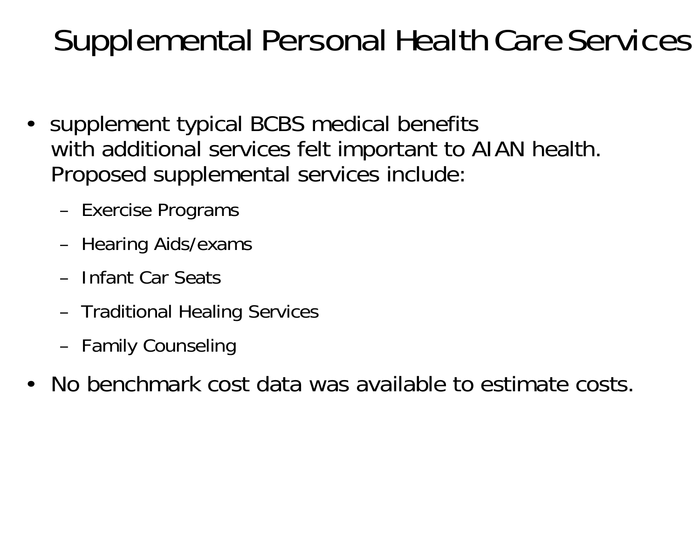### Supplemental Personal Health Care Services

- supplement typical BCBS medical benefits with additional services felt important to AIAN health. Proposed supplemental services include:
	- Exercise Programs
	- Hearing Aids/exams
	- Infant Car Seats
	- Traditional Healing Services
	- Family Counseling
- •No benchmark cost data was available to estimate costs.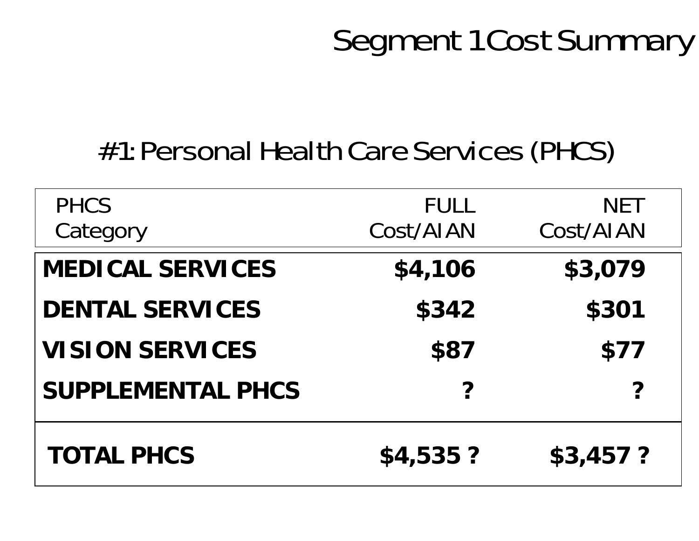### Segment 1 Cost Summary

### #1: Personal Health Care Services (PHCS)

| <b>PHCS</b><br>Category  | <b>FULL</b><br>Cost/AIAN | <b>NET</b><br>Cost/AIAN |
|--------------------------|--------------------------|-------------------------|
| <b>MEDICAL SERVICES</b>  | \$4,106                  | \$3,079                 |
| <b>DENTAL SERVICES</b>   | \$342                    | \$301                   |
| <b>VISION SERVICES</b>   | \$87                     | \$77                    |
| <b>SUPPLEMENTAL PHCS</b> | ?                        |                         |
| <b>TOTAL PHCS</b>        | \$4,535?                 | \$3,457?                |